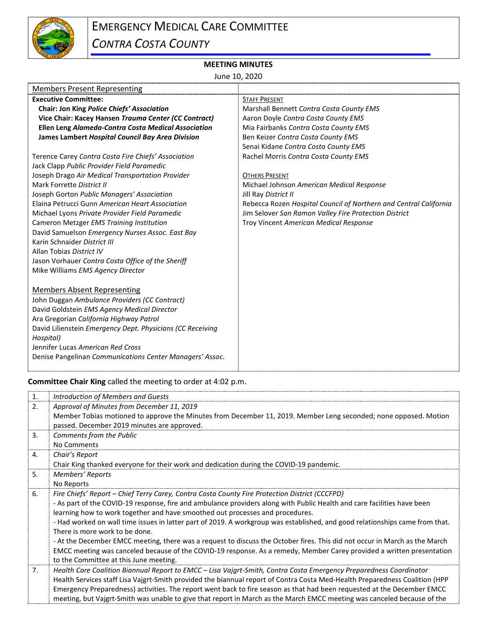

## **MEETING MINUTES**

June 10, 2020

| <b>STAFF PRESENT</b>                                              |
|-------------------------------------------------------------------|
| Marshall Bennett Contra Costa County EMS                          |
| Aaron Doyle Contra Costa County EMS                               |
| Mia Fairbanks Contra Costa County EMS                             |
| Ben Keizer Contra Costa County EMS                                |
| Senai Kidane Contra Costa County EMS                              |
| Rachel Morris Contra Costa County EMS                             |
|                                                                   |
| <b>OTHERS PRESENT</b>                                             |
| Michael Johnson American Medical Response                         |
| Jill Ray District II                                              |
| Rebecca Rozen Hospital Council of Northern and Central California |
| Jim Selover San Ramon Valley Fire Protection District             |
| Troy Vincent American Medical Response                            |
|                                                                   |
|                                                                   |
|                                                                   |
|                                                                   |
|                                                                   |
|                                                                   |
|                                                                   |
|                                                                   |
|                                                                   |
|                                                                   |
|                                                                   |
|                                                                   |
|                                                                   |
|                                                                   |
|                                                                   |

**Committee Chair King** called the meeting to order at 4:02 p.m.

| 1.             | Introduction of Members and Guests                                                                                           |
|----------------|------------------------------------------------------------------------------------------------------------------------------|
| 2.             | Approval of Minutes from December 11, 2019                                                                                   |
|                | Member Tobias motioned to approve the Minutes from December 11, 2019. Member Leng seconded; none opposed. Motion             |
|                | passed. December 2019 minutes are approved.                                                                                  |
| 3.             | Comments from the Public                                                                                                     |
|                | No Comments                                                                                                                  |
| 4.             | Chair's Report                                                                                                               |
|                | Chair King thanked everyone for their work and dedication during the COVID-19 pandemic.                                      |
| 5.             | Members' Reports                                                                                                             |
|                | No Reports                                                                                                                   |
| 6.             | Fire Chiefs' Report – Chief Terry Carey, Contra Costa County Fire Protection District (CCCFPD)                               |
|                | - As part of the COVID-19 response, fire and ambulance providers along with Public Health and care facilities have been      |
|                | learning how to work together and have smoothed out processes and procedures.                                                |
|                | - Had worked on wall time issues in latter part of 2019. A workgroup was established, and good relationships came from that. |
|                | There is more work to be done.                                                                                               |
|                | - At the December EMCC meeting, there was a request to discuss the October fires. This did not occur in March as the March   |
|                | EMCC meeting was canceled because of the COVID-19 response. As a remedy, Member Carey provided a written presentation        |
|                | to the Committee at this June meeting.                                                                                       |
| 7 <sub>1</sub> | Health Care Coalition Biannual Report to EMCC – Lisa Vajgrt-Smith, Contra Costa Emergency Preparedness Coordinator           |
|                | Health Services staff Lisa Vaigrt-Smith provided the biannual report of Contra Costa Med-Health Preparedness Coalition (HPP  |
|                | Emergency Preparedness) activities. The report went back to fire season as that had been requested at the December EMCC      |
|                | meeting, but Vajgrt-Smith was unable to give that report in March as the March EMCC meeting was canceled because of the      |